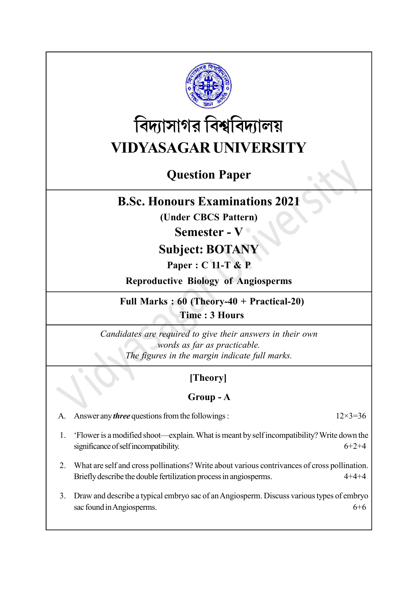

# বিদ্যাসাগর বিশ্ববিদ্যালয় VIDYASAGAR UNIVERSITY

## Question Paper

## B.Sc. Honours Examinations 2021

(Under CBCS Pattern)

#### Semester - V

## Subject: BOTANY

#### Paper : C 11-T & P

Reproductive Biology of Angiosperms

Full Marks : 60 (Theory-40 + Practical-20) Time : 3 Hours

Candidates are required to give their answers in their own words as far as practicable. The figures in the margin indicate full marks.

### [Theory]

#### Group - A

A. Answer any *three* questions from the followings :  $12 \times 3 = 36$ 

1. 'Flower is a modified shoot—explain. What is meant by self incompatibility? Write down the significance of self incompatibility.  $6+2+4$ 

- 2. What are self and cross pollinations? Write about various contrivances of cross pollination. Briefly describe the double fertilization process in angiosperms. 4+4+4
- 3. Draw and describe a typical embryo sac of an Angiosperm. Discuss various types of embryo sac found in Angiosperms. 6+6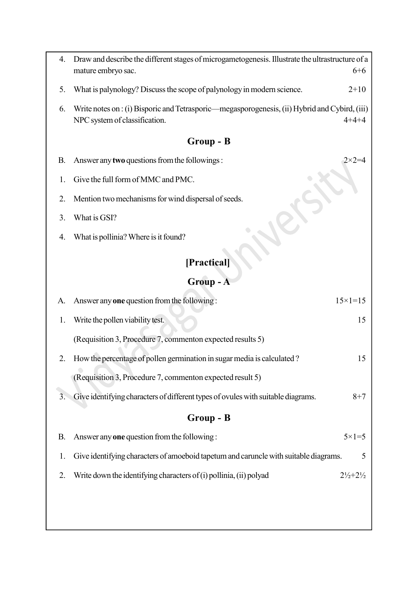| 4.          | Draw and describe the different stages of microgametogenesis. Illustrate the ultrastructure of a<br>mature embryo sac.<br>$6 + 6$             |  |  |
|-------------|-----------------------------------------------------------------------------------------------------------------------------------------------|--|--|
| 5.          | What is palynology? Discuss the scope of palynology in modern science.<br>$2+10$                                                              |  |  |
| 6.          | Write notes on : (i) Bisporic and Tetrasporic—megasporogenesis, (ii) Hybrid and Cybird, (iii)<br>NPC system of classification.<br>$4 + 4 + 4$ |  |  |
| Group - B   |                                                                                                                                               |  |  |
| В.          | Answer any two questions from the followings:<br>2×2=4                                                                                        |  |  |
| 1.          | Give the full form of MMC and PMC.                                                                                                            |  |  |
| 2.          | Mention two mechanisms for wind dispersal of seeds.                                                                                           |  |  |
| 3.          | What is GSI?                                                                                                                                  |  |  |
| 4.          | What is pollinia? Where is it found?                                                                                                          |  |  |
| [Practical] |                                                                                                                                               |  |  |
| Group - A   |                                                                                                                                               |  |  |
| A.          | Answer any one question from the following:<br>$15 \times 1 = 15$                                                                             |  |  |
| 1.          | Write the pollen viability test.<br>15                                                                                                        |  |  |
|             | (Requisition 3, Procedure 7, commenton expected results 5)                                                                                    |  |  |
| 2.          | How the percentage of pollen germination in sugar media is calculated?<br>15                                                                  |  |  |
|             | (Requisition 3, Procedure 7, commenton expected result 5)                                                                                     |  |  |
| 3.          | Give identifying characters of different types of ovules with suitable diagrams.<br>$8 + 7$                                                   |  |  |
| Group - B   |                                                                                                                                               |  |  |
| <b>B.</b>   | Answer any <b>one</b> question from the following:<br>$5 \times 1 = 5$                                                                        |  |  |
| 1.          | Give identifying characters of amoeboid tapetum and caruncle with suitable diagrams.<br>5                                                     |  |  |
| 2.          | Write down the identifying characters of (i) pollinia, (ii) polyad<br>$2\frac{1}{2} + 2\frac{1}{2}$                                           |  |  |